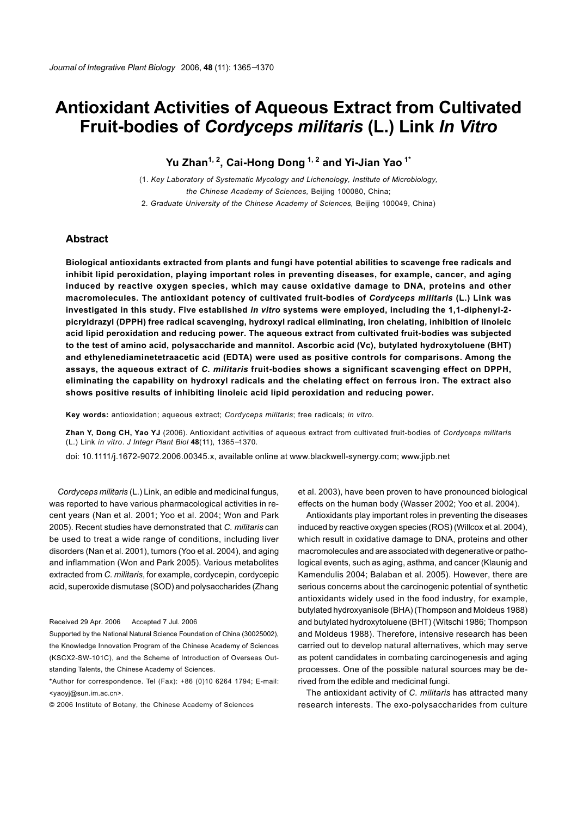# **Antioxidant Activities of Aqueous Extract from Cultivated Fruit-bodies of** *Cordyceps militaris* **(L.) Link** *In Vitro*

**Yu Zhan1, 2, Cai-Hong Dong 1, 2 and Yi-Jian Yao 1\***

(1. *Key Laboratory of Systematic Mycology and Lichenology, Institute of Microbiology, the Chinese Academy of Sciences,* Beijing 100080, China;

2. *Graduate University of the Chinese Academy of Sciences,* Beijing 100049, China)

## **Abstract**

**Biological antioxidants extracted from plants and fungi have potential abilities to scavenge free radicals and inhibit lipid peroxidation, playing important roles in preventing diseases, for example, cancer, and aging induced by reactive oxygen species, which may cause oxidative damage to DNA, proteins and other macromolecules. The antioxidant potency of cultivated fruit-bodies of** *Cordyceps militaris* **(L.) Link was investigated in this study. Five established** *in vitro* **systems were employed, including the 1,1-diphenyl-2 picryldrazyl (DPPH) free radical scavenging, hydroxyl radical eliminating, iron chelating, inhibition of linoleic acid lipid peroxidation and reducing power. The aqueous extract from cultivated fruit-bodies was subjected to the test of amino acid, polysaccharide and mannitol. Ascorbic acid (Vc), butylated hydroxytoluene (BHT) and ethylenediaminetetraacetic acid (EDTA) were used as positive controls for comparisons. Among the assays, the aqueous extract of** *C. militaris* **fruit-bodies shows a significant scavenging effect on DPPH, eliminating the capability on hydroxyl radicals and the chelating effect on ferrous iron. The extract also shows positive results of inhibiting linoleic acid lipid peroxidation and reducing power.**

**Key words:** antioxidation; aqueous extract; *Cordyceps militaris*; free radicals; *in vitro.*

**Zhan Y, Dong CH, Yao YJ** (2006). Antioxidant activities of aqueous extract from cultivated fruit-bodies of *Cordyceps militaris* (L.) Link *in vitro*. *J Integr Plant Biol* **48**(11), 1365−1370.

doi: 10.1111/j.1672-9072.2006.00345.x, available online at www.blackwell-synergy.com; www.jipb.net

*Cordyceps militaris* (L.) Link, an edible and medicinal fungus, was reported to have various pharmacological activities in recent years (Nan et al. 2001; Yoo et al. 2004; Won and Park 2005). Recent studies have demonstrated that *C. militaris* can be used to treat a wide range of conditions, including liver disorders (Nan et al. 2001), tumors (Yoo et al. 2004), and aging and inflammation (Won and Park 2005). Various metabolites extracted from *C. militaris*, for example, cordycepin, cordycepic acid, superoxide dismutase (SOD) and polysaccharides (Zhang

Received 29 Apr. 2006 Accepted 7 Jul. 2006

Supported by the National Natural Science Foundation of China (30025002), the Knowledge Innovation Program of the Chinese Academy of Sciences (KSCX2-SW-101C), and the Scheme of Introduction of Overseas Outstanding Talents, the Chinese Academy of Sciences.

\*Author for correspondence. Tel (Fax): +86 (0)10 6264 1794; E-mail: <yaoyj@sun.im.ac.cn>.

© 2006 Institute of Botany, the Chinese Academy of Sciences

et al. 2003), have been proven to have pronounced biological effects on the human body (Wasser 2002; Yoo et al. 2004).

Antioxidants play important roles in preventing the diseases induced by reactive oxygen species (ROS) (Willcox et al. 2004), which result in oxidative damage to DNA, proteins and other macromolecules and are associated with degenerative or pathological events, such as aging, asthma, and cancer (Klaunig and Kamendulis 2004; Balaban et al. 2005). However, there are serious concerns about the carcinogenic potential of synthetic antioxidants widely used in the food industry, for example, butylated hydroxyanisole (BHA) (Thompson and Moldeus 1988) and butylated hydroxytoluene (BHT) (Witschi 1986; Thompson and Moldeus 1988). Therefore, intensive research has been carried out to develop natural alternatives, which may serve as potent candidates in combating carcinogenesis and aging processes. One of the possible natural sources may be derived from the edible and medicinal fungi.

The antioxidant activity of *C. militaris* has attracted many research interests. The exo-polysaccharides from culture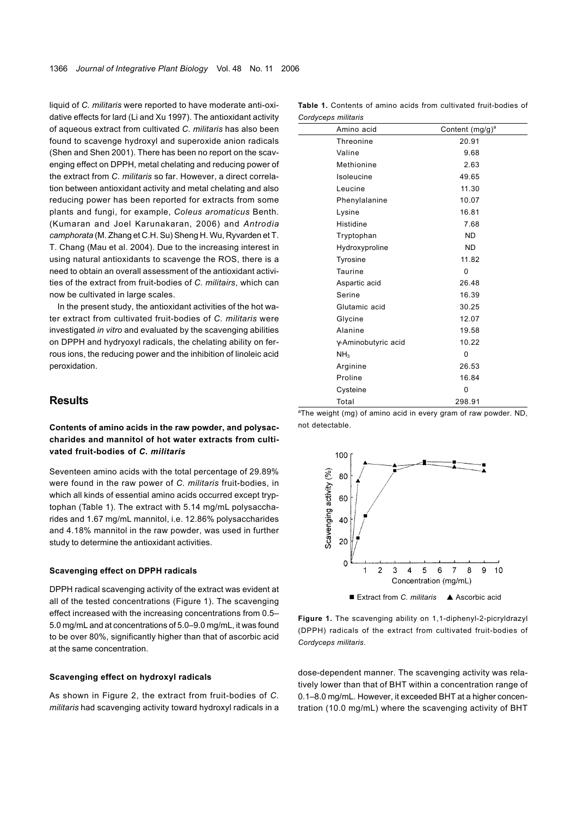liquid of *C. militaris* were reported to have moderate anti-oxidative effects for lard (Li and Xu 1997). The antioxidant activity of aqueous extract from cultivated *C. militaris* has also been found to scavenge hydroxyl and superoxide anion radicals (Shen and Shen 2001). There has been no report on the scavenging effect on DPPH, metal chelating and reducing power of the extract from *C. militaris* so far. However, a direct correlation between antioxidant activity and metal chelating and also reducing power has been reported for extracts from some plants and fungi, for example, *Coleus aromaticus* Benth. (Kumaran and Joel Karunakaran, 2006) and *Antrodia camphorata* (M. Zhang et C.H. Su) Sheng H. Wu, Ryvarden et T. T. Chang (Mau et al. 2004). Due to the increasing interest in using natural antioxidants to scavenge the ROS, there is a need to obtain an overall assessment of the antioxidant activities of the extract from fruit-bodies of *C. militairs*, which can now be cultivated in large scales.

In the present study, the antioxidant activities of the hot water extract from cultivated fruit-bodies of *C. militaris* were investigated *in vitro* and evaluated by the scavenging abilities on DPPH and hydryoxyl radicals, the chelating ability on ferrous ions, the reducing power and the inhibition of linoleic acid peroxidation.

## **Results**

## **Contents of amino acids in the raw powder, and polysaccharides and mannitol of hot water extracts from cultivated fruit-bodies of** *C. militaris*

Seventeen amino acids with the total percentage of 29.89% were found in the raw power of *C. militaris* fruit-bodies, in which all kinds of essential amino acids occurred except tryptophan (Table 1). The extract with 5.14 mg/mL polysaccharides and 1.67 mg/mL mannitol, i.e. 12.86% polysaccharides and 4.18% mannitol in the raw powder, was used in further study to determine the antioxidant activities.

#### **Scavenging effect on DPPH radicals**

DPPH radical scavenging activity of the extract was evident at all of the tested concentrations (Figure 1). The scavenging effect increased with the increasing concentrations from 0.5– 5.0 mg/mL and at concentrations of 5.0–9.0 mg/mL, it was found to be over 80%, significantly higher than that of ascorbic acid at the same concentration.

#### **Scavenging effect on hydroxyl radicals**

As shown in Figure 2, the extract from fruit-bodies of *C. militaris* had scavenging activity toward hydroxyl radicals in a

**Table 1.** Contents of amino acids from cultivated fruit-bodies of *Cordyceps militaris*

| Amino acid          | Content (mg/g) <sup>a</sup> |
|---------------------|-----------------------------|
| Threonine           | 20.91                       |
| Valine              | 9.68                        |
| Methionine          | 2.63                        |
| Isoleucine          | 49.65                       |
| Leucine             | 11.30                       |
| Phenylalanine       | 10.07                       |
| Lysine              | 16.81                       |
| Histidine           | 7.68                        |
| Tryptophan          | <b>ND</b>                   |
| Hydroxyproline      | <b>ND</b>                   |
| Tyrosine            | 11.82                       |
| Taurine             | 0                           |
| Aspartic acid       | 26.48                       |
| Serine              | 16.39                       |
| Glutamic acid       | 30.25                       |
| Glycine             | 12.07                       |
| Alanine             | 19.58                       |
| γ-Aminobutyric acid | 10.22                       |
| NH <sub>3</sub>     | 0                           |
| Arginine            | 26.53                       |
| Proline             | 16.84                       |
| Cysteine            | 0                           |
| Total               | 298.91                      |

<sup>a</sup>The weight (mg) of amino acid in every gram of raw powder. ND, not detectable.



**Figure 1.** The scavenging ability on 1,1-diphenyl-2-picryldrazyl (DPPH) radicals of the extract from cultivated fruit-bodies of *Cordyceps militaris*.

dose-dependent manner. The scavenging activity was relatively lower than that of BHT within a concentration range of 0.1–8.0 mg/mL. However, it exceeded BHT at a higher concentration (10.0 mg/mL) where the scavenging activity of BHT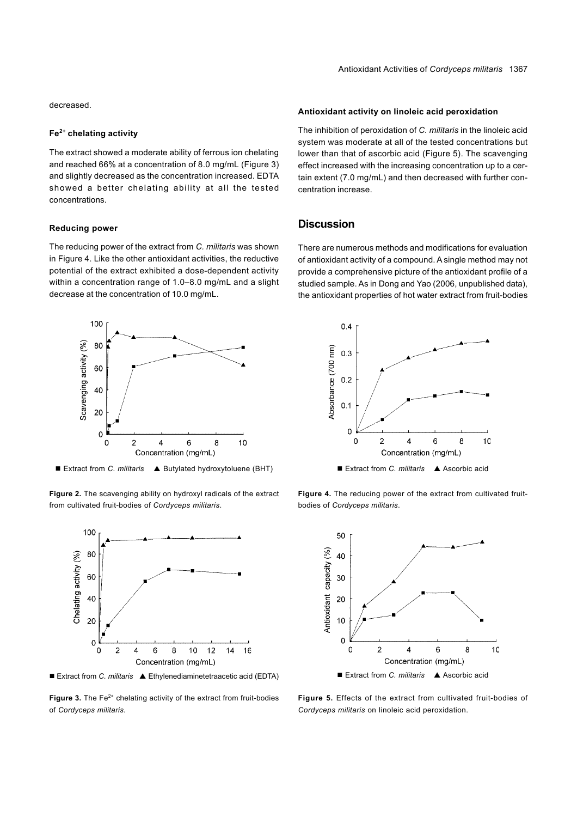decreased.

#### **Fe2+ chelating activity**

The extract showed a moderate ability of ferrous ion chelating and reached 66% at a concentration of 8.0 mg/mL (Figure 3) and slightly decreased as the concentration increased. EDTA showed a better chelating ability at all the tested concentrations.

#### **Reducing power**

The reducing power of the extract from *C. militaris* was shown in Figure 4. Like the other antioxidant activities, the reductive potential of the extract exhibited a dose-dependent activity within a concentration range of 1.0–8.0 mg/mL and a slight decrease at the concentration of 10.0 mg/mL.



■ Extract from *C. militaris* ▲ Butylated hydroxytoluene (BHT)

**Figure 2.** The scavenging ability on hydroxyl radicals of the extract from cultivated fruit-bodies of *Cordyceps militaris*.



**Figure 3.** The Fe<sup>2+</sup> chelating activity of the extract from fruit-bodies of *Cordyceps militaris*.

## **Antioxidant activity on linoleic acid peroxidation**

The inhibition of peroxidation of *C. militaris* in the linoleic acid system was moderate at all of the tested concentrations but lower than that of ascorbic acid (Figure 5). The scavenging effect increased with the increasing concentration up to a certain extent (7.0 mg/mL) and then decreased with further concentration increase.

## **Discussion**

There are numerous methods and modifications for evaluation of antioxidant activity of a compound. A single method may not provide a comprehensive picture of the antioxidant profile of a studied sample. As in Dong and Yao (2006, unpublished data), the antioxidant properties of hot water extract from fruit-bodies



Figure 4. The reducing power of the extract from cultivated fruitbodies of *Cordyceps militaris*.



**Figure 5.** Effects of the extract from cultivated fruit-bodies of *Cordyceps militaris* on linoleic acid peroxidation.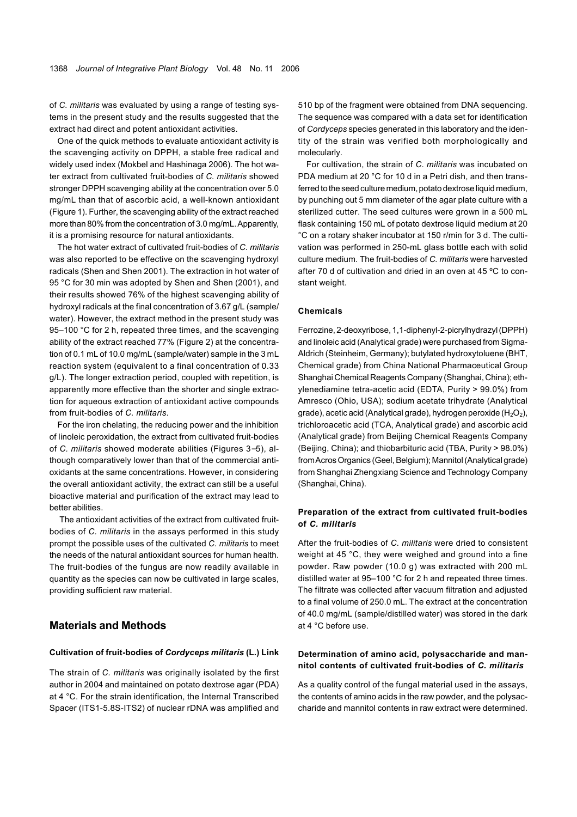of *C. militaris* was evaluated by using a range of testing systems in the present study and the results suggested that the extract had direct and potent antioxidant activities.

One of the quick methods to evaluate antioxidant activity is the scavenging activity on DPPH, a stable free radical and widely used index (Mokbel and Hashinaga 2006). The hot water extract from cultivated fruit-bodies of *C. militaris* showed stronger DPPH scavenging ability at the concentration over 5.0 mg/mL than that of ascorbic acid, a well-known antioxidant (Figure 1). Further, the scavenging ability of the extract reached more than 80% from the concentration of 3.0 mg/mL. Apparently, it is a promising resource for natural antioxidants.

The hot water extract of cultivated fruit-bodies of *C. militaris* was also reported to be effective on the scavenging hydroxyl radicals (Shen and Shen 2001). The extraction in hot water of 95 °C for 30 min was adopted by Shen and Shen (2001), and their results showed 76% of the highest scavenging ability of hydroxyl radicals at the final concentration of 3.67 g/L (sample/ water). However, the extract method in the present study was 95–100 °C for 2 h, repeated three times, and the scavenging ability of the extract reached 77% (Figure 2) at the concentration of 0.1 mL of 10.0 mg/mL (sample/water) sample in the 3 mL reaction system (equivalent to a final concentration of 0.33 g/L). The longer extraction period, coupled with repetition, is apparently more effective than the shorter and single extraction for aqueous extraction of antioxidant active compounds from fruit-bodies of *C. militaris*.

For the iron chelating, the reducing power and the inhibition of linoleic peroxidation, the extract from cultivated fruit-bodies of *C. militaris* showed moderate abilities (Figures 3−5), although comparatively lower than that of the commercial antioxidants at the same concentrations. However, in considering the overall antioxidant activity, the extract can still be a useful bioactive material and purification of the extract may lead to better abilities.

 The antioxidant activities of the extract from cultivated fruitbodies of *C. militaris* in the assays performed in this study prompt the possible uses of the cultivated *C. militaris* to meet the needs of the natural antioxidant sources for human health. The fruit-bodies of the fungus are now readily available in quantity as the species can now be cultivated in large scales, providing sufficient raw material.

# **Materials and Methods**

#### **Cultivation of fruit-bodies of** *Cordyceps militaris* **(L.) Link**

The strain of *C. militaris* was originally isolated by the first author in 2004 and maintained on potato dextrose agar (PDA) at 4 °C. For the strain identification, the Internal Transcribed Spacer (ITS1-5.8S-ITS2) of nuclear rDNA was amplified and

510 bp of the fragment were obtained from DNA sequencing. The sequence was compared with a data set for identification of *Cordyceps* species generated in this laboratory and the identity of the strain was verified both morphologically and molecularly.

For cultivation, the strain of *C. militaris* was incubated on PDA medium at 20 °C for 10 d in a Petri dish, and then transferred to the seed culture medium, potato dextrose liquid medium, by punching out 5 mm diameter of the agar plate culture with a sterilized cutter. The seed cultures were grown in a 500 mL flask containing 150 mL of potato dextrose liquid medium at 20 °C on a rotary shaker incubator at 150 r/min for 3 d. The cultivation was performed in 250-mL glass bottle each with solid culture medium. The fruit-bodies of *C. militaris* were harvested after 70 d of cultivation and dried in an oven at 45 ºC to constant weight.

#### **Chemicals**

Ferrozine, 2-deoxyribose, 1,1-diphenyl-2-picrylhydrazyl (DPPH) and linoleic acid (Analytical grade) were purchased from Sigma-Aldrich (Steinheim, Germany); butylated hydroxytoluene (BHT, Chemical grade) from China National Pharmaceutical Group Shanghai Chemical Reagents Company (Shanghai, China); ethylenediamine tetra-acetic acid (EDTA, Purity > 99.0%) from Amresco (Ohio, USA); sodium acetate trihydrate (Analytical grade), acetic acid (Analytical grade), hydrogen peroxide (H<sub>2</sub>O<sub>2</sub>), trichloroacetic acid (TCA, Analytical grade) and ascorbic acid (Analytical grade) from Beijing Chemical Reagents Company (Beijing, China); and thiobarbituric acid (TBA, Purity > 98.0%) from Acros Organics (Geel, Belgium); Mannitol (Analytical grade) from Shanghai Zhengxiang Science and Technology Company (Shanghai, China).

## **Preparation of the extract from cultivated fruit-bodies of** *C. militaris*

After the fruit-bodies of *C. militaris* were dried to consistent weight at 45 °C, they were weighed and ground into a fine powder. Raw powder (10.0 g) was extracted with 200 mL distilled water at 95–100 °C for 2 h and repeated three times. The filtrate was collected after vacuum filtration and adjusted to a final volume of 250.0 mL. The extract at the concentration of 40.0 mg/mL (sample/distilled water) was stored in the dark at 4 °C before use.

## **Determination of amino acid, polysaccharide and mannitol contents of cultivated fruit-bodies of** *C. militaris*

As a quality control of the fungal material used in the assays, the contents of amino acids in the raw powder, and the polysaccharide and mannitol contents in raw extract were determined.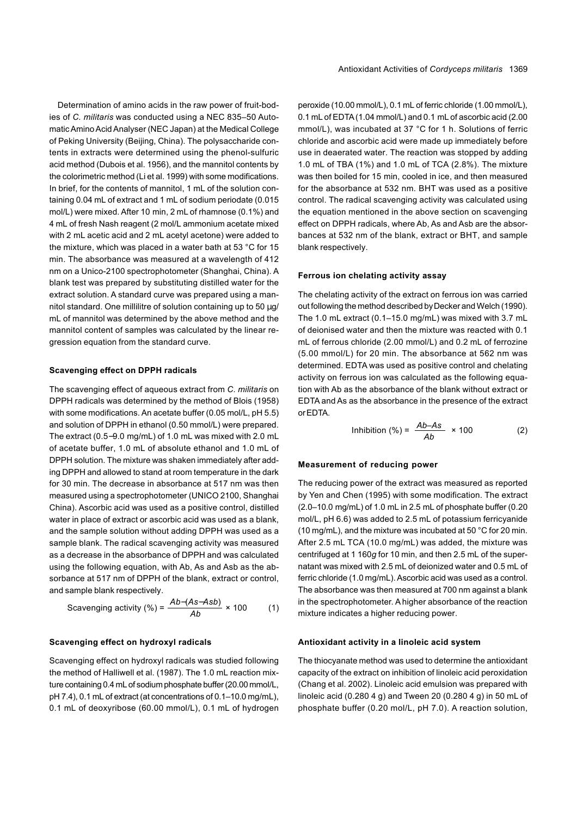Determination of amino acids in the raw power of fruit-bodies of *C. militaris* was conducted using a NEC 835–50 Automatic Amino Acid Analyser (NEC Japan) at the Medical College of Peking University (Beijing, China). The polysaccharide contents in extracts were determined using the phenol-sulfuric acid method (Dubois et al. 1956), and the mannitol contents by the colorimetric method (Li et al. 1999) with some modifications. In brief, for the contents of mannitol, 1 mL of the solution containing 0.04 mL of extract and 1 mL of sodium periodate (0.015 mol/L) were mixed. After 10 min, 2 mL of rhamnose (0.1%) and 4 mL of fresh Nash reagent (2 mol/L ammonium acetate mixed with 2 mL acetic acid and 2 mL acetyl acetone) were added to the mixture, which was placed in a water bath at 53 °C for 15 min. The absorbance was measured at a wavelength of 412 nm on a Unico-2100 spectrophotometer (Shanghai, China). A blank test was prepared by substituting distilled water for the extract solution. A standard curve was prepared using a mannitol standard. One millilitre of solution containing up to 50  $\mu$ g/ mL of mannitol was determined by the above method and the mannitol content of samples was calculated by the linear regression equation from the standard curve.

#### **Scavenging effect on DPPH radicals**

The scavenging effect of aqueous extract from *C. militaris* on DPPH radicals was determined by the method of Blois (1958) with some modifications. An acetate buffer (0.05 mol/L, pH 5.5) and solution of DPPH in ethanol (0.50 mmol/L) were prepared. The extract (0.5−9.0 mg/mL) of 1.0 mL was mixed with 2.0 mL of acetate buffer, 1.0 mL of absolute ethanol and 1.0 mL of DPPH solution. The mixture was shaken immediately after adding DPPH and allowed to stand at room temperature in the dark for 30 min. The decrease in absorbance at 517 nm was then measured using a spectrophotometer (UNICO 2100, Shanghai China). Ascorbic acid was used as a positive control, distilled water in place of extract or ascorbic acid was used as a blank, and the sample solution without adding DPPH was used as a sample blank. The radical scavenging activity was measured as a decrease in the absorbance of DPPH and was calculated using the following equation, with Ab, As and Asb as the absorbance at 517 nm of DPPH of the blank, extract or control, and sample blank respectively.

Scavenging activity (%) = 
$$
\frac{Ab - (As - Asb)}{Ab} \times 100
$$
 (1)

#### **Scavenging effect on hydroxyl radicals**

Scavenging effect on hydroxyl radicals was studied following the method of Halliwell et al. (1987). The 1.0 mL reaction mixture containing 0.4 mL of sodium phosphate buffer (20.00 mmol/L, pH 7.4), 0.1 mL of extract (at concentrations of 0.1–10.0 mg/mL), 0.1 mL of deoxyribose (60.00 mmol/L), 0.1 mL of hydrogen

peroxide (10.00 mmol/L), 0.1 mL of ferric chloride (1.00 mmol/L), 0.1 mL of EDTA (1.04 mmol/L) and 0.1 mL of ascorbic acid (2.00 mmol/L), was incubated at 37 °C for 1 h. Solutions of ferric chloride and ascorbic acid were made up immediately before use in deaerated water. The reaction was stopped by adding 1.0 mL of TBA (1%) and 1.0 mL of TCA (2.8%). The mixture was then boiled for 15 min, cooled in ice, and then measured for the absorbance at 532 nm. BHT was used as a positive control. The radical scavenging activity was calculated using the equation mentioned in the above section on scavenging effect on DPPH radicals, where Ab, As and Asb are the absorbances at 532 nm of the blank, extract or BHT, and sample blank respectively.

#### **Ferrous ion chelating activity assay**

The chelating activity of the extract on ferrous ion was carried out following the method described byDecker and Welch (1990). The 1.0 mL extract (0.1–15.0 mg/mL) was mixed with 3.7 mL of deionised water and then the mixture was reacted with 0.1 mL of ferrous chloride (2.00 mmol/L) and 0.2 mL of ferrozine (5.00 mmol/L) for 20 min. The absorbance at 562 nm was determined. EDTA was used as positive control and chelating activity on ferrous ion was calculated as the following equation with Ab as the absorbance of the blank without extract or EDTA and As as the absorbance in the presence of the extract or EDTA.

$$
Inhibition (%) = \frac{Ab - As}{Ab} \times 100 \tag{2}
$$

#### **Measurement of reducing power**

The reducing power of the extract was measured as reported by Yen and Chen (1995) with some modification. The extract (2.0–10.0 mg/mL) of 1.0 mL in 2.5 mL of phosphate buffer (0.20 mol/L, pH 6.6) was added to 2.5 mL of potassium ferricyanide (10 mg/mL), and the mixture was incubated at 50 °C for 20 min. After 2.5 mL TCA (10.0 mg/mL) was added, the mixture was centrifuged at 1 160*g* for 10 min, and then 2.5 mL of the supernatant was mixed with 2.5 mL of deionized water and 0.5 mL of ferric chloride (1.0 mg/mL). Ascorbic acid was used as a control. The absorbance was then measured at 700 nm against a blank in the spectrophotometer. A higher absorbance of the reaction mixture indicates a higher reducing power.

#### **Antioxidant activity in a linoleic acid system**

The thiocyanate method was used to determine the antioxidant capacity of the extract on inhibition of linoleic acid peroxidation (Chang et al. 2002). Linoleic acid emulsion was prepared with linoleic acid (0.280 4 g) and Tween 20 (0.280 4 g) in 50 mL of phosphate buffer (0.20 mol/L, pH 7.0). A reaction solution,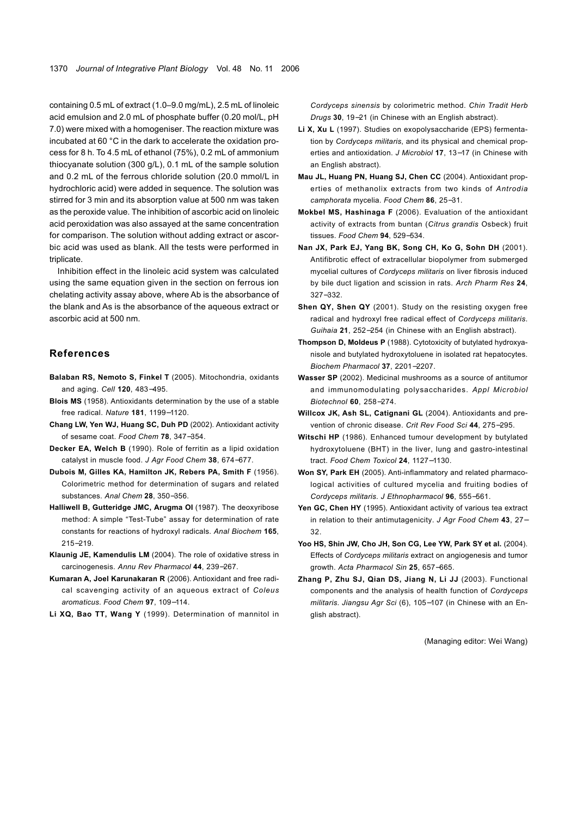containing 0.5 mL of extract (1.0–9.0 mg/mL), 2.5 mL of linoleic acid emulsion and 2.0 mL of phosphate buffer (0.20 mol/L, pH 7.0) were mixed with a homogeniser. The reaction mixture was incubated at 60 °C in the dark to accelerate the oxidation process for 8 h. To 4.5 mL of ethanol (75%), 0.2 mL of ammonium thiocyanate solution (300 g/L), 0.1 mL of the sample solution and 0.2 mL of the ferrous chloride solution (20.0 mmol/L in hydrochloric acid) were added in sequence. The solution was stirred for 3 min and its absorption value at 500 nm was taken as the peroxide value. The inhibition of ascorbic acid on linoleic acid peroxidation was also assayed at the same concentration for comparison. The solution without adding extract or ascorbic acid was used as blank. All the tests were performed in triplicate.

Inhibition effect in the linoleic acid system was calculated using the same equation given in the section on ferrous ion chelating activity assay above, where Ab is the absorbance of the blank and As is the absorbance of the aqueous extract or ascorbic acid at 500 nm.

## **References**

- **Balaban RS, Nemoto S, Finkel T** (2005). Mitochondria, oxidants and aging. *Cell* **120**, 483−495.
- **Blois MS** (1958). Antioxidants determination by the use of a stable free radical. *Nature* **181**, 1199−1120.
- **Chang LW, Yen WJ, Huang SC, Duh PD** (2002). Antioxidant activity of sesame coat. *Food Chem* **78**, 347−354.
- **Decker EA, Welch B** (1990). Role of ferritin as a lipid oxidation catalyst in muscle food. *J Agr Food Chem* **38**, 674−677.
- **Dubois M, Gilles KA, Hamilton JK, Rebers PA, Smith F** (1956). Colorimetric method for determination of sugars and related substances. *Anal Chem* **28**, 350−356.
- **Halliwell B, Gutteridge JMC, Arugma OI** (1987). The deoxyribose method: A simple "Test-Tube" assay for determination of rate constants for reactions of hydroxyl radicals. *Anal Biochem* **165**, 215−219.
- **Klaunig JE, Kamendulis LM** (2004). The role of oxidative stress in carcinogenesis. *Annu Rev Pharmacol* **44**, 239−267.
- **Kumaran A, Joel Karunakaran R** (2006). Antioxidant and free radical scavenging activity of an aqueous extract of *Coleus aromaticus*. *Food Chem* **97**, 109−114.
- **Li XQ, Bao TT, Wang Y** (1999). Determination of mannitol in

*Cordyceps sinensis* by colorimetric method. *Chin Tradit Herb Drugs* **30**, 19−21 (in Chinese with an English abstract).

- **Li X, Xu L** (1997). Studies on exopolysaccharide (EPS) fermentation by *Cordyceps militaris*, and its physical and chemical properties and antioxidation. *J Microbiol* **17**, 13−17 (in Chinese with an English abstract).
- **Mau JL, Huang PN, Huang SJ, Chen CC** (2004). Antioxidant properties of methanolix extracts from two kinds of *Antrodia camphorata* mycelia. *Food Chem* **86**, 25−31.
- **Mokbel MS, Hashinaga F** (2006). Evaluation of the antioxidant activity of extracts from buntan (*Citrus grandis* Osbeck) fruit tissues. *Food Chem* **94**, 529−534.
- **Nan JX, Park EJ, Yang BK, Song CH, Ko G, Sohn DH** (2001). Antifibrotic effect of extracellular biopolymer from submerged mycelial cultures of *Cordyceps militaris* on liver fibrosis induced by bile duct ligation and scission in rats. *Arch Pharm Res* **24**, 327−332.
- **Shen QY, Shen QY** (2001). Study on the resisting oxygen free radical and hydroxyl free radical effect of *Cordyceps militaris*. *Guihaia* **21**, 252−254 (in Chinese with an English abstract).
- **Thompson D, Moldeus P** (1988). Cytotoxicity of butylated hydroxyanisole and butylated hydroxytoluene in isolated rat hepatocytes. *Biochem Pharmacol* **37**, 2201−2207.
- **Wasser SP** (2002). Medicinal mushrooms as a source of antitumor and immunomodulating polysaccharides. *Appl Microbiol Biotechnol* **60**, 258−274.
- **Willcox JK, Ash SL, Catignani GL** (2004). Antioxidants and prevention of chronic disease. *Crit Rev Food Sci* **44**, 275−295.
- **Witschi HP** (1986). Enhanced tumour development by butylated hydroxytoluene (BHT) in the liver, lung and gastro-intestinal tract. *Food Chem Toxicol* **24**, 1127−1130.
- **Won SY, Park EH** (2005). Anti-inflammatory and related pharmacological activities of cultured mycelia and fruiting bodies of *Cordyceps militaris*. *J Ethnopharmacol* **96**, 555−561.
- Yen GC, Chen HY (1995). Antioxidant activity of various tea extract in relation to their antimutagenicity. *J Agr Food Chem* **43**, 27− 32.
- **Yoo HS, Shin JW, Cho JH, Son CG, Lee YW, Park SY et al.** (2004). Effects of *Cordyceps militaris* extract on angiogenesis and tumor growth. *Acta Pharmacol Sin* **25**, 657−665.
- **Zhang P, Zhu SJ, Qian DS, Jiang N, Li JJ** (2003). Functional components and the analysis of health function of *Cordyceps militaris*. *Jiangsu Agr Sci* (6), 105−107 (in Chinese with an English abstract).

(Managing editor: Wei Wang)